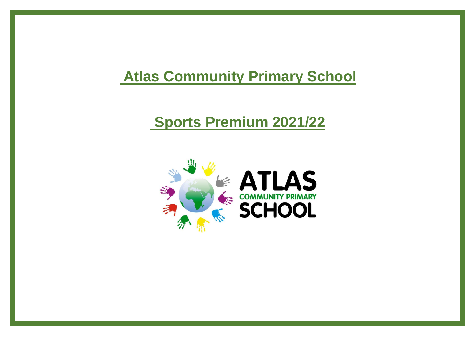## **Atlas Community Primary School**

## **Sports Premium 2021/22**

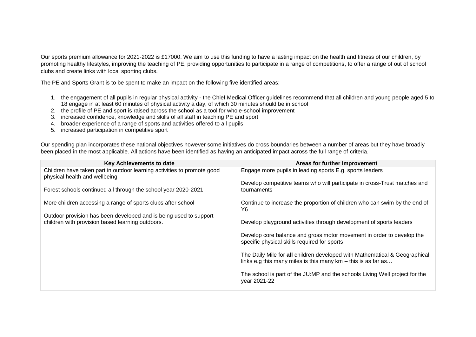Our sports premium allowance for 2021-2022 is £17000. We aim to use this funding to have a lasting impact on the health and fitness of our children, by promoting healthy lifestyles, improving the teaching of PE, providing opportunities to participate in a range of competitions, to offer a range of out of school clubs and create links with local sporting clubs.

The PE and Sports Grant is to be spent to make an impact on the following five identified areas;

- 1. the engagement of all pupils in regular physical activity the Chief Medical Officer guidelines recommend that all children and young people aged 5 to 18 engage in at least 60 minutes of physical activity a day, of which 30 minutes should be in school
- 2. the profile of PE and sport is raised across the school as a tool for whole-school improvement
- 3. increased confidence, knowledge and skills of all staff in teaching PE and sport
- 4. broader experience of a range of sports and activities offered to all pupils
- 5. increased participation in competitive sport

Our spending plan incorporates these national objectives however some initiatives do cross boundaries between a number of areas but they have broadly been placed in the most applicable. All actions have been identified as having an anticipated impact across the full range of criteria.

| Key Achievements to date                                                                                              | Areas for further improvement                                                                                                                 |
|-----------------------------------------------------------------------------------------------------------------------|-----------------------------------------------------------------------------------------------------------------------------------------------|
| Children have taken part in outdoor learning activities to promote good<br>physical health and wellbeing              | Engage more pupils in leading sports E.g. sports leaders                                                                                      |
| Forest schools continued all through the school year 2020-2021                                                        | Develop competitive teams who will participate in cross-Trust matches and<br>tournaments                                                      |
| More children accessing a range of sports clubs after school                                                          | Continue to increase the proportion of children who can swim by the end of<br>Y6                                                              |
| Outdoor provision has been developed and is being used to support<br>children with provision based learning outdoors. | Develop playground activities through development of sports leaders                                                                           |
|                                                                                                                       | Develop core balance and gross motor movement in order to develop the<br>specific physical skills required for sports                         |
|                                                                                                                       | The Daily Mile for all children developed with Mathematical & Geographical<br>links e.g this many miles is this many $km - this$ is as far as |
|                                                                                                                       | The school is part of the JU:MP and the schools Living Well project for the<br>year 2021-22                                                   |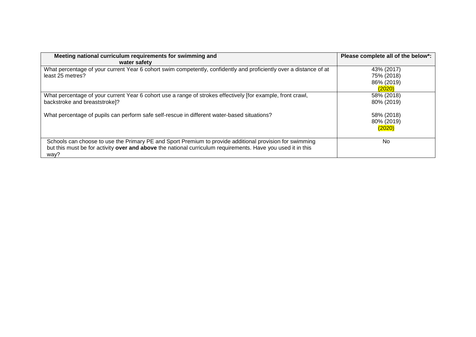| Meeting national curriculum requirements for swimming and<br>water safety                                                                                                                                                      | Please complete all of the below*:               |
|--------------------------------------------------------------------------------------------------------------------------------------------------------------------------------------------------------------------------------|--------------------------------------------------|
| What percentage of your current Year 6 cohort swim competently, confidently and proficiently over a distance of at<br>least 25 metres?                                                                                         | 43% (2017)<br>75% (2018)<br>86% (2019)<br>(2020) |
| What percentage of your current Year 6 cohort use a range of strokes effectively [for example, front crawl,<br>backstroke and breaststroke]?                                                                                   | 58% (2018)<br>80% (2019)                         |
| What percentage of pupils can perform safe self-rescue in different water-based situations?                                                                                                                                    | 58% (2018)<br>80% (2019)<br>(2020)               |
| Schools can choose to use the Primary PE and Sport Premium to provide additional provision for swimming<br>but this must be for activity over and above the national curriculum requirements. Have you used it in this<br>way? | No.                                              |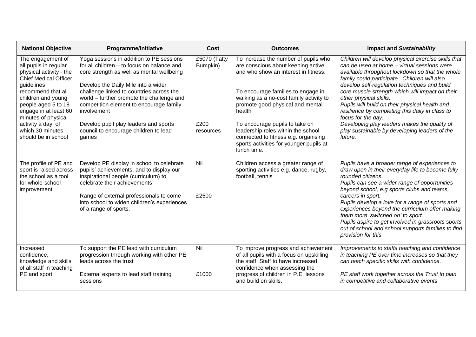| <b>National Objective</b>                                                                                                                                                                                                                                                                               | <b>Programme/Initiative</b>                                                                                                                                                                                                                                                                                                                                                                                              | Cost                                          | <b>Outcomes</b>                                                                                                                                                                                                                                                                                                                                                                                                             | <b>Impact and Sustainability</b>                                                                                                                                                                                                                                                                                                                                                                                                                                                                                                                                          |
|---------------------------------------------------------------------------------------------------------------------------------------------------------------------------------------------------------------------------------------------------------------------------------------------------------|--------------------------------------------------------------------------------------------------------------------------------------------------------------------------------------------------------------------------------------------------------------------------------------------------------------------------------------------------------------------------------------------------------------------------|-----------------------------------------------|-----------------------------------------------------------------------------------------------------------------------------------------------------------------------------------------------------------------------------------------------------------------------------------------------------------------------------------------------------------------------------------------------------------------------------|---------------------------------------------------------------------------------------------------------------------------------------------------------------------------------------------------------------------------------------------------------------------------------------------------------------------------------------------------------------------------------------------------------------------------------------------------------------------------------------------------------------------------------------------------------------------------|
| The engagement of<br>all pupils in regular<br>physical activity - the<br><b>Chief Medical Officer</b><br>guidelines<br>recommend that all<br>children and young<br>people aged 5 to 18<br>engage in at least 60<br>minutes of physical<br>activity a day, of<br>which 30 minutes<br>should be in school | Yoga sessions in addition to PE sessions<br>for all children - to focus on balance and<br>core strength as well as mental wellbeing<br>Develop the Daily Mile into a wider<br>challenge linked to countries across the<br>world - further promote the challenge and<br>competition element to encourage family<br>involvement<br>Develop pupil play leaders and sports<br>council to encourage children to lead<br>games | £5070 (Tatty<br>Bumpkin)<br>£200<br>resources | To increase the number of pupils who<br>are conscious about keeping active<br>and who show an interest in fitness.<br>To encourage families to engage in<br>walking as a no-cost family activity to<br>promote good physical and mental<br>health<br>To encourage pupils to take on<br>leadership roles within the school<br>connected to fitness e.g. organising<br>sports activities for younger pupils at<br>lunch time. | Children will develop physical exercise skills that<br>can be used at home - virtual sessions were<br>available throughout lockdown so that the whole<br>family could participate. Children will also<br>develop self-regulation techniques and build<br>core muscle strength which will impact on their<br>other physical skills.<br>Pupils will build on their physical health and<br>resilience by completing this daily in class to<br>focus for the day.<br>Developing play leaders makes the quality of<br>play sustainable by developing leaders of the<br>future. |
| The profile of PE and<br>sport is raised across<br>the school as a tool<br>for whole-school<br>improvement                                                                                                                                                                                              | Develop PE display in school to celebrate<br>pupils' achievements, and to display our<br>inspirational people (curriculum) to<br>celebrate their achievements<br>Range of external professionals to come<br>into school to widen children's experiences<br>of a range of sports.                                                                                                                                         | Nil<br>£2500                                  | Children access a greater range of<br>sporting activities e.g. dance, rugby,<br>football, tennis                                                                                                                                                                                                                                                                                                                            | Pupils have a broader range of experiences to<br>draw upon in their everyday life to become fully<br>rounded citizens.<br>Pupils can see a wider range of opportunities<br>beyond school, e.g sports clubs and teams,<br>careers in sport.<br>Pupils develop a love for a range of sports and<br>experiences beyond the curriculum offer making<br>them more 'switched on' to sport.<br>Pupils aspire to get involved in grassroots sports<br>out of school and school supports families to find<br>provision for this                                                    |
| Increased<br>confidence,<br>knowledge and skills<br>of all staff in teaching<br>PE and sport                                                                                                                                                                                                            | To support the PE lead with curriculum<br>progression through working with other PE<br>leads across the trust<br>External experts to lead staff training<br>sessions                                                                                                                                                                                                                                                     | Nil<br>£1000                                  | To improve progress and achievement<br>of all pupils with a focus on upskilling<br>the staff. Staff to have increased<br>confidence when assessing the<br>progress of children in P.E. lessons<br>and build on skills.                                                                                                                                                                                                      | Improvements to staffs teaching and confidence<br>in teaching PE over time increases so that they<br>can teach specific skills with confidence.<br>PE staff work together across the Trust to plan<br>in competitive and collaborative events                                                                                                                                                                                                                                                                                                                             |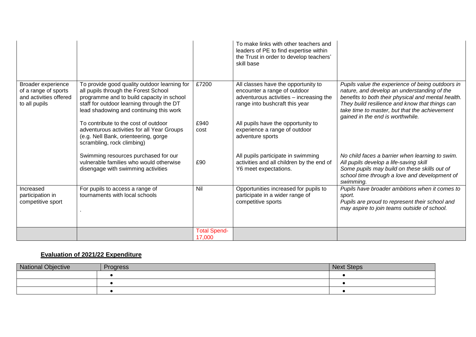|                                                                                       |                                                                                                                                                                                                                           |                               | To make links with other teachers and<br>leaders of PE to find expertise within<br>the Trust in order to develop teachers'<br>skill base         |                                                                                                                                                                                                                                                                                              |
|---------------------------------------------------------------------------------------|---------------------------------------------------------------------------------------------------------------------------------------------------------------------------------------------------------------------------|-------------------------------|--------------------------------------------------------------------------------------------------------------------------------------------------|----------------------------------------------------------------------------------------------------------------------------------------------------------------------------------------------------------------------------------------------------------------------------------------------|
| Broader experience<br>of a range of sports<br>and activities offered<br>to all pupils | To provide good quality outdoor learning for<br>all pupils through the Forest School<br>programme and to build capacity in school<br>staff for outdoor learning through the DT<br>lead shadowing and continuing this work | £7200                         | All classes have the opportunity to<br>encounter a range of outdoor<br>adventurous activities - increasing the<br>range into bushcraft this year | Pupils value the experience of being outdoors in<br>nature, and develop an understanding of the<br>benefits to both their physical and mental health.<br>They build resilience and know that things can<br>take time to master, but that the achievement<br>gained in the end is worthwhile. |
|                                                                                       | To contribute to the cost of outdoor<br>adventurous activities for all Year Groups<br>(e.g. Nell Bank, orienteering, gorge<br>scrambling, rock climbing)                                                                  | £940<br>cost                  | All pupils have the opportunity to<br>experience a range of outdoor<br>adventure sports                                                          |                                                                                                                                                                                                                                                                                              |
|                                                                                       | Swimming resources purchased for our<br>vulnerable families who would otherwise<br>disengage with swimming activities                                                                                                     | £90                           | All pupils participate in swimming<br>activities and all children by the end of<br>Y6 meet expectations.                                         | No child faces a barrier when learning to swim.<br>All pupils develop a life-saving skill<br>Some pupils may build on these skills out of<br>school time through a love and development of<br>swimming.                                                                                      |
| Increased<br>participation in<br>competitive sport                                    | For pupils to access a range of<br>tournaments with local schools                                                                                                                                                         | Nil                           | Opportunities increased for pupils to<br>participate in a wider range of<br>competitive sports                                                   | Pupils have broader ambitions when it comes to<br>sport.<br>Pupils are proud to represent their school and<br>may aspire to join teams outside of school.                                                                                                                                    |
|                                                                                       |                                                                                                                                                                                                                           | <b>Total Spend-</b><br>17,000 |                                                                                                                                                  |                                                                                                                                                                                                                                                                                              |

## **Evaluation of 2021/22 Expenditure**

| <b>National Objective</b> | Progress | <b>Next Steps</b> |
|---------------------------|----------|-------------------|
|                           |          |                   |
|                           |          |                   |
|                           |          |                   |